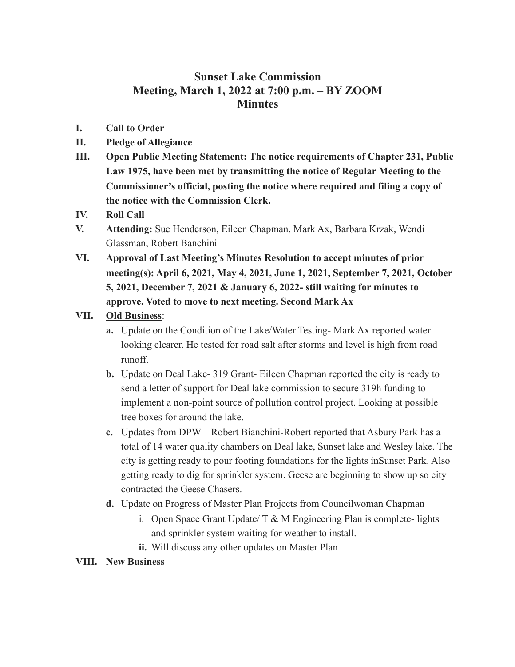## **Sunset Lake Commission Meeting, March 1, 2022 at 7:00 p.m. – BY ZOOM Minutes**

- **I. Call to Order**
- **II. Pledge of Allegiance**
- **III. Open Public Meeting Statement: The notice requirements of Chapter 231, Public Law 1975, have been met by transmitting the notice of Regular Meeting to the Commissioner's official, posting the notice where required and filing a copy of the notice with the Commission Clerk.**
- **IV. Roll Call**
- **V. Attending:** Sue Henderson, Eileen Chapman, Mark Ax, Barbara Krzak, Wendi Glassman, Robert Banchini
- **VI. Approval of Last Meeting's Minutes Resolution to accept minutes of prior meeting(s): April 6, 2021, May 4, 2021, June 1, 2021, September 7, 2021, October 5, 2021, December 7, 2021 & January 6, 2022- still waiting for minutes to approve. Voted to move to next meeting. Second Mark Ax**

## **VII. Old Business**:

- **a.** Update on the Condition of the Lake/Water Testing- Mark Ax reported water looking clearer. He tested for road salt after storms and level is high from road runoff.
- **b.** Update on Deal Lake- 319 Grant- Eileen Chapman reported the city is ready to send a letter of support for Deal lake commission to secure 319h funding to implement a non-point source of pollution control project. Looking at possible tree boxes for around the lake.
- **c.** Updates from DPW Robert Bianchini-Robert reported that Asbury Park has a total of 14 water quality chambers on Deal lake, Sunset lake and Wesley lake. The city is getting ready to pour footing foundations for the lights inSunset Park. Also getting ready to dig for sprinkler system. Geese are beginning to show up so city contracted the Geese Chasers.
- **d.** Update on Progress of Master Plan Projects from Councilwoman Chapman
	- i. Open Space Grant Update/  $T \& M$  Engineering Plan is complete- lights and sprinkler system waiting for weather to install.
	- **ii.** Will discuss any other updates on Master Plan

## **VIII. New Business**